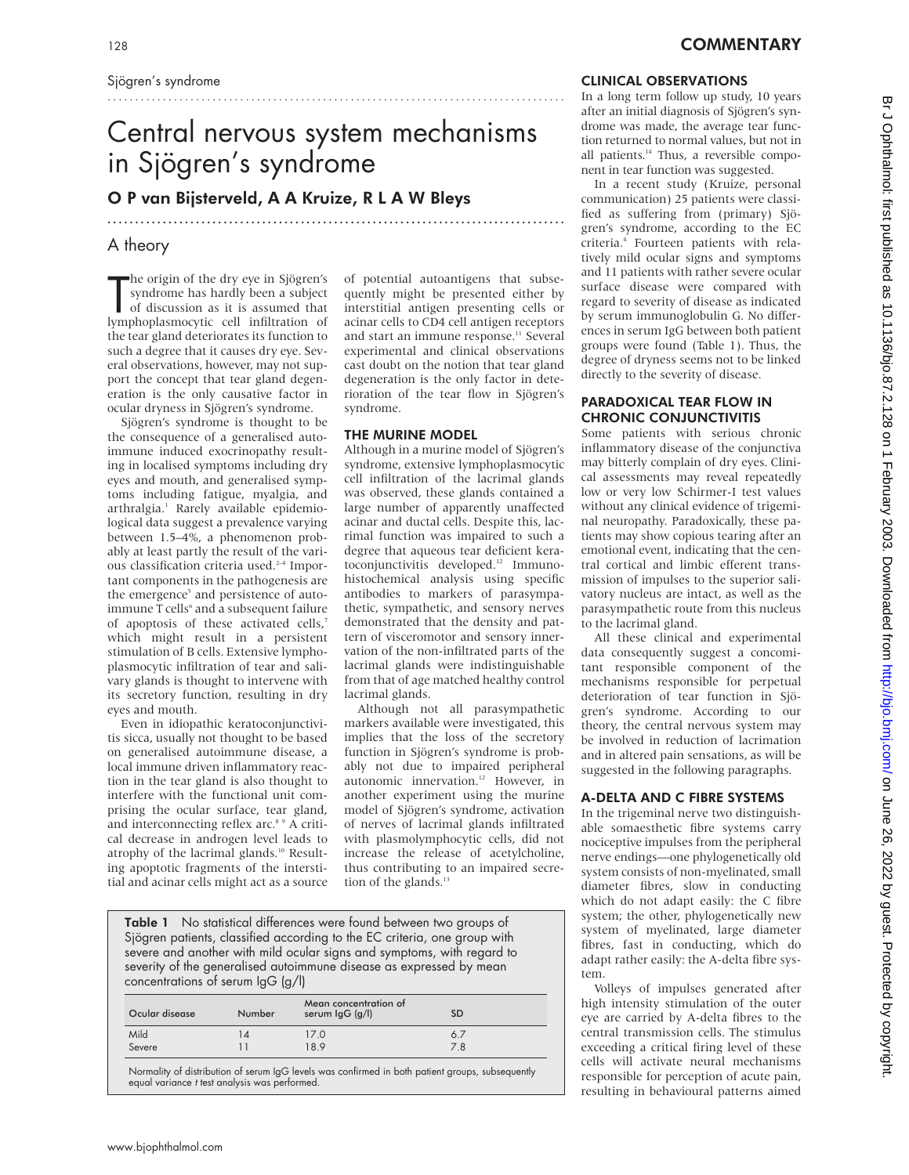# Central nervous system mechanisms in Sjögren's syndrome

...................................................................................

...................................................................................

## O P van Bijsterveld, A A Kruize, R L A W Bleys

## A theory

The origin of the dry eye in Sjögren's<br>syndrome has hardly been a subject<br>of discussion as it is assumed that<br>lymphoplasmocytic cell infiltration of he origin of the dry eye in Sjögren's syndrome has hardly been a subject of discussion as it is assumed that the tear gland deteriorates its function to such a degree that it causes dry eye. Several observations, however, may not support the concept that tear gland degeneration is the only causative factor in ocular dryness in Sjögren's syndrome.

Sjögren's syndrome is thought to be the consequence of a generalised autoimmune induced exocrinopathy resulting in localised symptoms including dry eyes and mouth, and generalised symptoms including fatigue, myalgia, and arthralgia.<sup>1</sup> Rarely available epidemiological data suggest a prevalence varying between 1.5–4%, a phenomenon probably at least partly the result of the various classification criteria used.<sup>2-4</sup> Important components in the pathogenesis are the emergence<sup>5</sup> and persistence of autoimmune T cells<sup>6</sup> and a subsequent failure of apoptosis of these activated cells,<sup>7</sup> which might result in a persistent stimulation of B cells. Extensive lymphoplasmocytic infiltration of tear and salivary glands is thought to intervene with its secretory function, resulting in dry eyes and mouth.

Even in idiopathic keratoconjunctivitis sicca, usually not thought to be based on generalised autoimmune disease, a local immune driven inflammatory reaction in the tear gland is also thought to interfere with the functional unit comprising the ocular surface, tear gland, and interconnecting reflex arc.<sup>8</sup> <sup>9</sup> A critical decrease in androgen level leads to atrophy of the lacrimal glands.<sup>10</sup> Resulting apoptotic fragments of the interstitial and acinar cells might act as a source of potential autoantigens that subsequently might be presented either by interstitial antigen presenting cells or acinar cells to CD4 cell antigen receptors and start an immune response.<sup>11</sup> Several experimental and clinical observations cast doubt on the notion that tear gland degeneration is the only factor in deterioration of the tear flow in Sjögren's syndrome.

## THE MURINE MODEL

Although in a murine model of Sjögren's syndrome, extensive lymphoplasmocytic cell infiltration of the lacrimal glands was observed, these glands contained a large number of apparently unaffected acinar and ductal cells. Despite this, lacrimal function was impaired to such a degree that aqueous tear deficient keratoconjunctivitis developed.12 Immunohistochemical analysis using specific antibodies to markers of parasympathetic, sympathetic, and sensory nerves demonstrated that the density and pattern of visceromotor and sensory innervation of the non-infiltrated parts of the lacrimal glands were indistinguishable from that of age matched healthy control lacrimal glands.

Although not all parasympathetic markers available were investigated, this implies that the loss of the secretory function in Sjögren's syndrome is probably not due to impaired peripheral autonomic innervation.<sup>12</sup> However, in another experiment using the murine model of Sjögren's syndrome, activation of nerves of lacrimal glands infiltrated with plasmolymphocytic cells, did not increase the release of acetylcholine, thus contributing to an impaired secretion of the glands.<sup>13</sup>

Table 1 No statistical differences were found between two groups of Sjögren patients, classified according to the EC criteria, one group with severe and another with mild ocular signs and symptoms, with regard to severity of the generalised autoimmune disease as expressed by mean concentrations of serum IgG (g/l)

| Ocular disease | Number         | Mean concentration of<br>serum IgG (g/l) | SD  |
|----------------|----------------|------------------------------------------|-----|
| Mild           | $\overline{A}$ | 17.0                                     | 6.  |
| Severe         |                | 189                                      | 7 R |

Normality of distribution of serum IgG levels was confirmed in both patient groups, subsequently equal variance <sup>t</sup> test analysis was performed.

#### CLINICAL OBSERVATIONS

In a long term follow up study, 10 years after an initial diagnosis of Sjögren's syndrome was made, the average tear function returned to normal values, but not in all patients.<sup>14</sup> Thus, a reversible component in tear function was suggested.

In a recent study (Kruize, personal communication) 25 patients were classified as suffering from (primary) Sjögren's syndrome, according to the EC criteria.4 Fourteen patients with relatively mild ocular signs and symptoms and 11 patients with rather severe ocular surface disease were compared with regard to severity of disease as indicated by serum immunoglobulin G. No differences in serum IgG between both patient groups were found (Table 1). Thus, the degree of dryness seems not to be linked directly to the severity of disease.

#### PARADOXICAL TEAR FLOW IN CHRONIC CONJUNCTIVITIS

Some patients with serious chronic inflammatory disease of the conjunctiva may bitterly complain of dry eyes. Clinical assessments may reveal repeatedly low or very low Schirmer-I test values without any clinical evidence of trigeminal neuropathy. Paradoxically, these patients may show copious tearing after an emotional event, indicating that the central cortical and limbic efferent transmission of impulses to the superior salivatory nucleus are intact, as well as the parasympathetic route from this nucleus to the lacrimal gland.

All these clinical and experimental data consequently suggest a concomitant responsible component of the mechanisms responsible for perpetual deterioration of tear function in Sjögren's syndrome. According to our theory, the central nervous system may be involved in reduction of lacrimation and in altered pain sensations, as will be suggested in the following paragraphs.

## A-DELTA AND C FIBRE SYSTEMS

In the trigeminal nerve two distinguishable somaesthetic fibre systems carry nociceptive impulses from the peripheral nerve endings—one phylogenetically old system consists of non-myelinated, small diameter fibres, slow in conducting which do not adapt easily: the C fibre system; the other, phylogenetically new system of myelinated, large diameter fibres, fast in conducting, which do adapt rather easily: the A-delta fibre system.

Volleys of impulses generated after high intensity stimulation of the outer eye are carried by A-delta fibres to the central transmission cells. The stimulus exceeding a critical firing level of these cells will activate neural mechanisms responsible for perception of acute pain, resulting in behavioural patterns aimed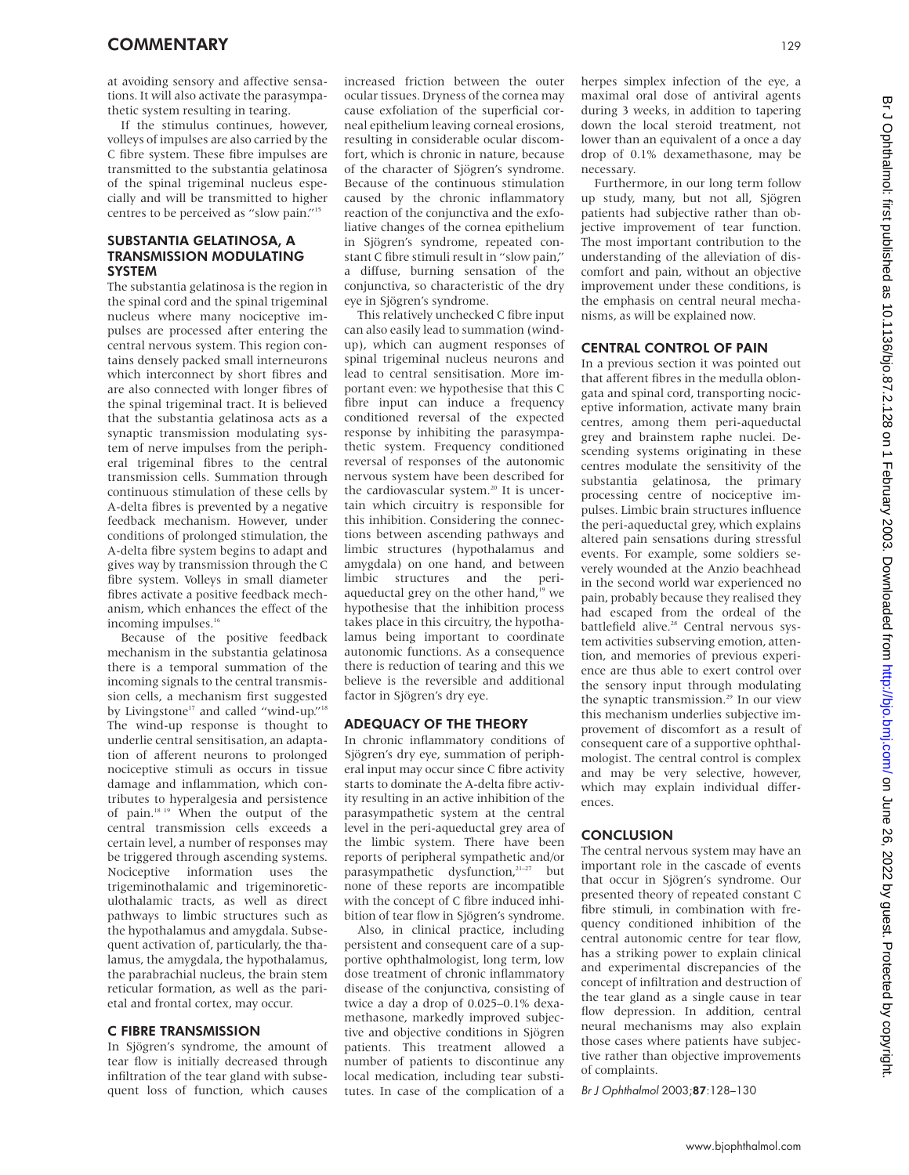at avoiding sensory and affective sensations. It will also activate the parasympathetic system resulting in tearing.

If the stimulus continues, however, volleys of impulses are also carried by the C fibre system. These fibre impulses are transmitted to the substantia gelatinosa of the spinal trigeminal nucleus especially and will be transmitted to higher centres to be perceived as "slow pain."

#### SUBSTANTIA GELATINOSA, A TRANSMISSION MODULATING **SYSTEM**

The substantia gelatinosa is the region in the spinal cord and the spinal trigeminal nucleus where many nociceptive impulses are processed after entering the central nervous system. This region contains densely packed small interneurons which interconnect by short fibres and are also connected with longer fibres of the spinal trigeminal tract. It is believed that the substantia gelatinosa acts as a synaptic transmission modulating system of nerve impulses from the peripheral trigeminal fibres to the central transmission cells. Summation through continuous stimulation of these cells by A-delta fibres is prevented by a negative feedback mechanism. However, under conditions of prolonged stimulation, the A-delta fibre system begins to adapt and gives way by transmission through the C fibre system. Volleys in small diameter fibres activate a positive feedback mechanism, which enhances the effect of the incoming impulses.<sup>16</sup>

Because of the positive feedback mechanism in the substantia gelatinosa there is a temporal summation of the incoming signals to the central transmission cells, a mechanism first suggested by Livingstone<sup>17</sup> and called "wind-up."<sup>1</sup> The wind-up response is thought to underlie central sensitisation, an adaptation of afferent neurons to prolonged nociceptive stimuli as occurs in tissue damage and inflammation, which contributes to hyperalgesia and persistence of pain.18 19 When the output of the central transmission cells exceeds a certain level, a number of responses may be triggered through ascending systems. Nociceptive information uses the trigeminothalamic and trigeminoreticulothalamic tracts, as well as direct pathways to limbic structures such as the hypothalamus and amygdala. Subsequent activation of, particularly, the thalamus, the amygdala, the hypothalamus, the parabrachial nucleus, the brain stem reticular formation, as well as the parietal and frontal cortex, may occur.

#### C FIBRE TRANSMISSION

In Sjögren's syndrome, the amount of tear flow is initially decreased through infiltration of the tear gland with subsequent loss of function, which causes

increased friction between the outer ocular tissues. Dryness of the cornea may cause exfoliation of the superficial corneal epithelium leaving corneal erosions, resulting in considerable ocular discomfort, which is chronic in nature, because of the character of Sjögren's syndrome. Because of the continuous stimulation caused by the chronic inflammatory reaction of the conjunctiva and the exfoliative changes of the cornea epithelium in Sjögren's syndrome, repeated constant C fibre stimuli result in "slow pain," a diffuse, burning sensation of the conjunctiva, so characteristic of the dry eye in Sjögren's syndrome.

This relatively unchecked C fibre input can also easily lead to summation (windup), which can augment responses of spinal trigeminal nucleus neurons and lead to central sensitisation. More important even: we hypothesise that this C fibre input can induce a frequency conditioned reversal of the expected response by inhibiting the parasympathetic system. Frequency conditioned reversal of responses of the autonomic nervous system have been described for the cardiovascular system.<sup>20</sup> It is uncertain which circuitry is responsible for this inhibition. Considering the connections between ascending pathways and limbic structures (hypothalamus and amygdala) on one hand, and between limbic structures and the periaqueductal grey on the other hand,<sup>19</sup> we hypothesise that the inhibition process takes place in this circuitry, the hypothalamus being important to coordinate autonomic functions. As a consequence there is reduction of tearing and this we believe is the reversible and additional factor in Sjögren's dry eye.

#### ADEQUACY OF THE THEORY

In chronic inflammatory conditions of Sjögren's dry eye, summation of peripheral input may occur since C fibre activity starts to dominate the A-delta fibre activity resulting in an active inhibition of the parasympathetic system at the central level in the peri-aqueductal grey area of the limbic system. There have been reports of peripheral sympathetic and/or parasympathetic dysfunction,<sup>21-27</sup> but none of these reports are incompatible with the concept of C fibre induced inhibition of tear flow in Sjögren's syndrome.

Also, in clinical practice, including persistent and consequent care of a supportive ophthalmologist, long term, low dose treatment of chronic inflammatory disease of the conjunctiva, consisting of twice a day a drop of 0.025–0.1% dexamethasone, markedly improved subjective and objective conditions in Sjögren patients. This treatment allowed a number of patients to discontinue any local medication, including tear substitutes. In case of the complication of a herpes simplex infection of the eye, a maximal oral dose of antiviral agents during 3 weeks, in addition to tapering down the local steroid treatment, not lower than an equivalent of a once a day drop of 0.1% dexamethasone, may be necessary.

Furthermore, in our long term follow up study, many, but not all, Sjögren patients had subjective rather than objective improvement of tear function. The most important contribution to the understanding of the alleviation of discomfort and pain, without an objective improvement under these conditions, is the emphasis on central neural mechanisms, as will be explained now.

#### CENTRAL CONTROL OF PAIN

In a previous section it was pointed out that afferent fibres in the medulla oblongata and spinal cord, transporting nociceptive information, activate many brain centres, among them peri-aqueductal grey and brainstem raphe nuclei. Descending systems originating in these centres modulate the sensitivity of the substantia gelatinosa, the primary processing centre of nociceptive impulses. Limbic brain structures influence the peri-aqueductal grey, which explains altered pain sensations during stressful events. For example, some soldiers severely wounded at the Anzio beachhead in the second world war experienced no pain, probably because they realised they had escaped from the ordeal of the battlefield alive.<sup>28</sup> Central nervous system activities subserving emotion, attention, and memories of previous experience are thus able to exert control over the sensory input through modulating the synaptic transmission.<sup>29</sup> In our view this mechanism underlies subjective improvement of discomfort as a result of consequent care of a supportive ophthalmologist. The central control is complex and may be very selective, however, which may explain individual differences.

## **CONCLUSION**

The central nervous system may have an important role in the cascade of events that occur in Sjögren's syndrome. Our presented theory of repeated constant C fibre stimuli, in combination with frequency conditioned inhibition of the central autonomic centre for tear flow, has a striking power to explain clinical and experimental discrepancies of the concept of infiltration and destruction of the tear gland as a single cause in tear flow depression. In addition, central neural mechanisms may also explain those cases where patients have subjective rather than objective improvements of complaints.

Br J Ophthalmol 2003;87:128–130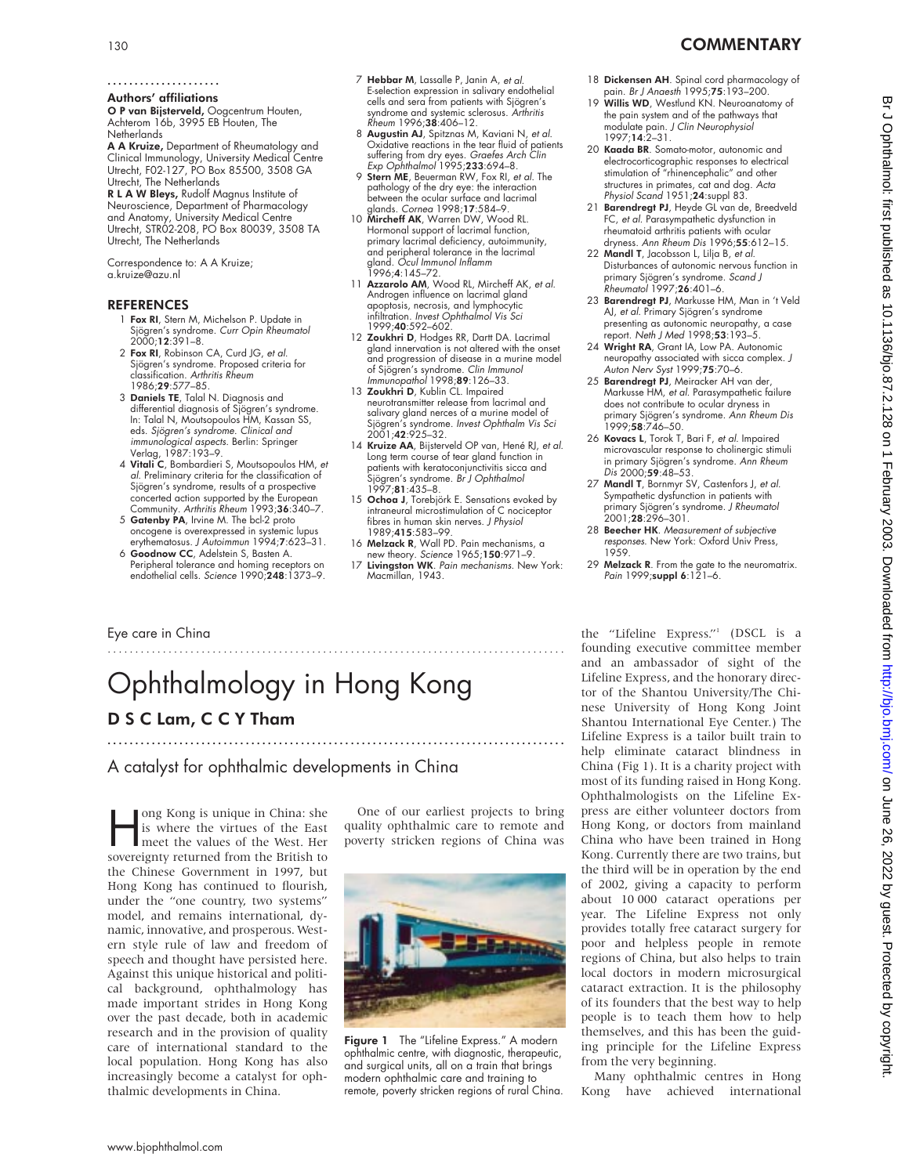## 130 **COMMENTARY**

Br J Ophthalmol: first published as 10.1136/bjo.87.2.128 on 1 February 2003. Downloaded from http://bjo.bmj.com/ on June 26, 2022 by guest. Protected by copyright. on June 26, 2022 by guest. Protected by copyright. Here it is 10.2023 by Guest. 2020. Downloadd trom Http://bjo.bmj.com/ D J June 26, 2022. Drace 26, 2022. Protected by a 10.1136.95.0.12.128 on 1 February 2009. Downloaded

.....................

#### Authors' affiliations

O P van Bijsterveld, Oogcentrum Houten, Achterom 16b, 3995 EB Houten, The **Netherlands** 

A A Kruize, Department of Rheumatology and Clinical Immunology, University Medical Centre Utrecht, F02-127, PO Box 85500, 3508 GA Utrecht, The Netherlands

R L A W Bleys, Rudolf Magnus Institute of Neuroscience, Department of Pharmacology and Anatomy, University Medical Centre Utrecht, STR02-208, PO Box 80039, 3508 TA Utrecht, The Netherlands

Correspondence to: A A Kruize; a.kruize@azu.nl

#### **REFERENCES**

- 1 Fox RI, Stern M, Michelson P. Update in Sjögren's syndrome. Curr Opin Rheumatol 2000;12:391–8.
- 2 Fox RI, Robinson CA, Curd JG, et al. Sjögren's syndrome. Proposed criteria for classification. Arthritis Rheum 1986;29:577–85.
- 3 Daniels TE, Talal N. Diagnosis and differential diagnosis of Sjögren's syndrome. In: Talal N, Moutsopoulos HM, Kassan SS, eds. Sjögren's syndrome. Clinical and immunological aspects. Berlin: Springer Verlag, 1987:193–9.
- 4 Vitali C, Bombardieri S, Moutsopoulos HM, et al. Preliminary criteria for the classification of Sjögren's syndrome, results of a prospective concerted action supported by the European Community. Arthritis Rheum 1993;36:340-7.
- 5 Gatenby PA, Irvine M. The bcl-2 proto oncogene is overexpressed in systemic lupu erythematosus. J Autoimmun 1994;7:623–31.
- 6 Goodnow CC, Adelstein S, Basten A. Peripheral tolerance and homing receptors on endothelial cells. Science 1990;248:1373-9.
- 7 Hebbar M, Lassalle P, Janin A, et al. E-selection expression in salivary endothelial cells and sera from patients with Sjögren's syndrome and systemic sclerosus. Arthritis  $Rheum 1996:38:406-12.$
- 8 Augustin AJ, Spitznas M, Kaviani N, *et al.*<br>Oxidative reactions in the tear fluid of patients suffering from dry eyes. *Graefes Arch Clin*<br>Exp Ophthalmol 1995;**233**:694–8.
- 9 Stern ME, Beuerman RW, Fox RI, et al. The pathology of the dry eye: the interaction between the ocular surface and lacrimal glands. Cornea 1998;17:584–9.
- 10 Mircheff AK, Warren DW, Wood RL. Hormonal support of lacrimal function, primary lacrimal deficiency, autoimmunity, and peripheral tolerance in the lacrimal<br>gland. *Ocul Immunol Inflamm*
- 1996;4:145–72. 11 Azzarolo AM, Wood RL, Mircheff AK, et al. Androgen influence on lacrimal gland apoptosis, necrosis, and lymphocytic infiltration. Invest Ophthalmol Vis Sci 1999;40:592–602.
- 12 Zoukhri D, Hodges RR, Dartt DA. Lacrimal gland innervation is not altered with the onset and progression of disease in a murine model of Sjögren's syndrome. *Clin Immunol*<br>Immunopathol 1998;**89**:126–33.
- 13 Zoukhri D, Kublin CL. Impaired neurotransmitter release from lacrimal and salivary gland nerces of a murine model of Sjögren's syndrome. Invest Ophthalm Vis Sci 2001;42:925–32.
- 14 Kruize AA, Bijsterveld OP van, Hené RJ, et al. Long term course of tear gland function in patients with keratoconjunctivitis sicca and Sjögren's syndrome. Br J Ophthalmol 1997;81:435–8.
- 15 Ochoa J, Torebjörk E. Sensations evoked by intraneural microstimulation of C nociceptor fibres in human skin nerves. J Physiol 1989;415:583–99.
- 16 Melzack R, Wall PD. Pain mechanisms, a new theory. Science 1965;150:971–9.
- 17 Livingston WK. Pain mechanisms. New York: Macmillan, 1943.
- 18 Dickensen AH. Spinal cord pharmacology of pain. Br J Anaesth 1995;75:193–200.
- 19 Willis WD, Westlund KN. Neuroanatomy of the pain system and of the pathways that modulate pain. J Clin Neurophysiol 1997;14:2–31.
- 20 Kaada BR. Somato-motor, autonomic and electrocorticographic responses to electrical stimulation of "rhinencephalic" and other structures in primates, cat and dog. Acta Physiol Scand 1951; 24: suppl 83
- 21 Barendregt PJ, Heyde GL van de, Breedveld FC, et al. Parasympathetic dysfunction in rheumatoid arthritis patients with ocular dryness. Ann Rheum Dis 1996;55:612–15.
- 22 Mandl T, Jacobsson L, Lilja B, et al. Disturbances of autonomic nervous function in primary Sjögren's syndrome. Scand J Rheumatol 1997;26:401–6.
- 23 Barendregt PJ, Markusse HM, Man in 't Veld AJ, et al. Primary Sjögren's syndrome presenting as autonomic neuropathy, a case<br>report. *Neth J Med* 1998;**53**:193–5.
- 24 Wright RA, Grant IA, Low PA. Autonomic neuropathy associated with sicca complex. J Auton Nerv Syst 1999;75:70–6.
- 25 Barendregt PJ, Meiracker AH van der, Markusse HM, et al. Parasympathetic failure does not contribute to ocular dryness in primary Sjögren's syndrome. Ann Rheum Dis 1999;**58**:746–50.
- 26 Kovacs L, Torok T, Bari F, et al. Impaired microvascular response to cholinergic stimuli in primary Sjögren's syndrome. Ann Rheum Dis 2000;59:48-53.
- 27 Mandl T, Bornmyr SV, Castenfors J, et al. Sympathetic dysfunction in patients with primary Sjögren's syndrome. *J Rheumatol*<br>2001;**28**:296–301.
- 28 Beecher HK. Measurement of subjective responses. New York: Oxford Univ Press, 1959.
- 29 Melzack R. From the gate to the neuromatrix. Pain 1999;suppl 6:121-6.

## Eye care in China

# Ophthalmology in Hong Kong D S C Lam, C C Y Tham

...................................................................................

A catalyst for ophthalmic developments in China

ong Kong is unique in China: she<br>is where the virtues of the East<br>meet the values of the West. Her<br>sovereignty returned from the British to is where the virtues of the East meet the values of the West. Her sovereignty returned from the British to the Chinese Government in 1997, but Hong Kong has continued to flourish, under the "one country, two systems" model, and remains international, dynamic, innovative, and prosperous. Western style rule of law and freedom of speech and thought have persisted here. Against this unique historical and political background, ophthalmology has made important strides in Hong Kong over the past decade, both in academic research and in the provision of quality care of international standard to the local population. Hong Kong has also increasingly become a catalyst for ophthalmic developments in China.

One of our earliest projects to bring quality ophthalmic care to remote and poverty stricken regions of China was

...................................................................................



Figure 1 The "Lifeline Express." A modern ophthalmic centre, with diagnostic, therapeutic, and surgical units, all on a train that brings modern ophthalmic care and training to remote, poverty stricken regions of rural China.

the "Lifeline Express."<sup>1</sup> (DSCL is a founding executive committee member and an ambassador of sight of the Lifeline Express, and the honorary director of the Shantou University/The Chinese University of Hong Kong Joint Shantou International Eye Center.) The Lifeline Express is a tailor built train to help eliminate cataract blindness in China (Fig 1). It is a charity project with most of its funding raised in Hong Kong. Ophthalmologists on the Lifeline Express are either volunteer doctors from Hong Kong, or doctors from mainland China who have been trained in Hong Kong. Currently there are two trains, but the third will be in operation by the end of 2002, giving a capacity to perform about 10 000 cataract operations per year. The Lifeline Express not only provides totally free cataract surgery for poor and helpless people in remote regions of China, but also helps to train local doctors in modern microsurgical cataract extraction. It is the philosophy of its founders that the best way to help people is to teach them how to help themselves, and this has been the guiding principle for the Lifeline Express from the very beginning.

Many ophthalmic centres in Hong Kong have achieved international